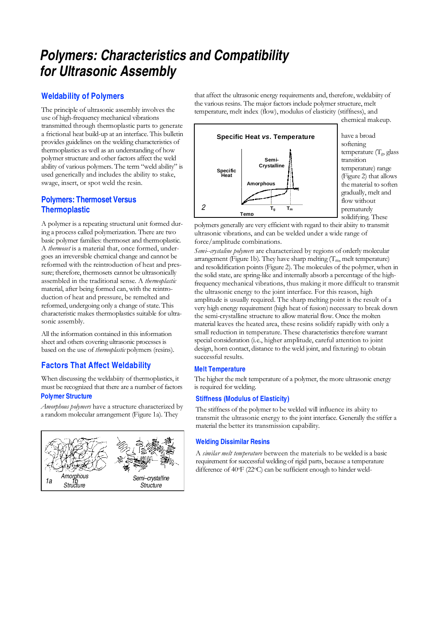# **Polymers: Characteristics and Compatibility for Ultrasonic Assembly**

## **Weldability of Polymers**

The principle of ultrasonic assembly involves the use of high-frequency mechanical vibrations transmitted through thermoplastic parts to generate a frictional heat build-up at an interface. This bulletin provides guidelines on the welding characteristics of thermoplastics as well as an understanding of how polymer structure and other factors affect the weld ability of various polymers. The term "weld ability" is used generically and includes the ability to stake, swage, insert, or spot weld the resin.

## **Polymers: Thermoset Versus Thermoplastic**

A polymer is a repeating structural unit formed during a process called polymerization. There are two basic polymer families: thermoset and thermoplastic. A thermoset is a material that, once formed, undergoes an irreversible chemical change and cannot be reformed with the reintroduction of heat and pressure; therefore, thermosets cannot be ultrasonically assembled in the traditional sense. A thermoplastic material, after being formed can, with the reintroduction of heat and pressure, be remelted and reformed, undergoing only a change of state. This characteristic makes thermoplastics suitable for ultrasonic assembly.

All the information contained in this information sheet and others covering ultrasonic processes is based on the use of thermoplastic polymers (resins).

## **Factors That Affect Weldability**

When discussing the weldabiity of thermoplastics, it must be recognized that there are a number of factors **Polymer Structure** 

Amorphous polymers have a structure characterized by a random molecular arrangement (Figure 1a). They



that affect the ultrasonic energy requirements and, therefore, weldabiity of the various resins. The major factors include polymer structure, melt temperature, melt index (flow), modulus of elasticity (stiffness), and chemical makeup.



have a broad softening temperature  $(T_{\rho}, g$  glass transition temperature) range (Figure 2) that allows the material to soften gradually, melt and flow without prematurely solidifying. These

polymers generally are very efficient with regard to their abiity to transmit ultrasonic vibrations, and can be welded under a wide range of force/amplitude combinations.

Semi--crystaline polymers are characterized by regions of orderly molecular arrangement (Figure 1b). They have sharp melting  $(T_m)$ , melt temperature) and resolidification points (Figure 2). The molecules of the polymer, when in the solid state, are spring-like and internally absorb a percentage of the highfrequency mechanical vibrations, thus making it more difficult to transmit the ultrasonic energy to the joint interface. For this reason, high amplitude is usually required. The sharp melting point is the result of a very high energy requirement (high heat of fusion) necessary to break down the semi-crystalline structure to allow material flow. Once the molten material leaves the heated area, these resins solidify rapidly with only a small reduction in temperature. These characteristics therefore warrant special consideration (i.e., higher amplitude, careful attention to joint design, horn contact, distance to the weld joint, and fixturing) to obtain successful results.

#### **Melt Temperature**

The higher the melt temperature of a polymer, the more ultrasonic energy is required for welding.

#### **Stiffness (Modulus of Elasticity)**

The stiffness of the polymer to be welded will influence its abiity to transmit the ultrasonic energy to the joint interface. Generally the stiffer a material the better its transmission capability.

#### **Welding Dissimilar Resins**

A similar melt temperature between the materials to be welded is a basic requirement for successful welding of rigid parts, because a temperature difference of 40<sup>o</sup>F (22<sup>o</sup>C) can be sufficient enough to hinder weld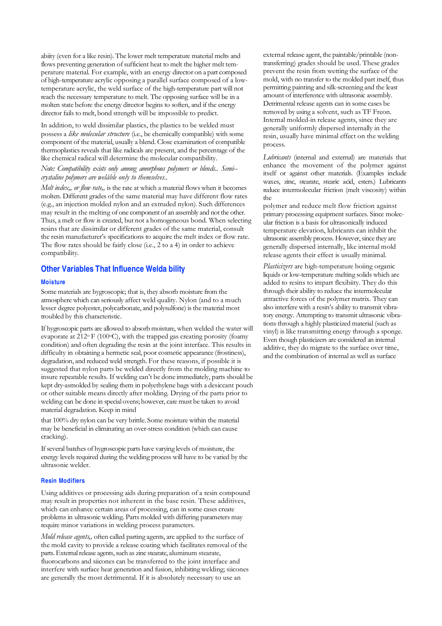abiity (even for a like resin). The lower melt temperature material melts and flows preventing generation of sufficient heat to melt the higher melt temperature material. For example, with an energy director on a part composed of high-temperature acrylic opposing a parallel surface composed of a lowtemperature acrylic, the weld surface of the high-temperature part will not reach the necessary temperature to melt. The opposing surface will be in a molten state before the energy director begins to soften, and if the energy director fails to melt, bond strength will be impossible to predict.

In addition, to weld dissimilar plastics, the plastics to be welded must possess a like molecular structure (i.e., be chemically compatible) with some component of the material, usually a blend. Close examination of compatible thermoplastics reveals that like radicals are present, and the percentage of the like chemical radical will determine the molecular compatibility.

#### Note: Compatibility exists only among amorphous polymers or blends.. Semi- crystaline polymers are welåble only to themselves..

Melt index,, or flow rate,, is the rate at which a material flows when it becomes molten. Different grades of the same material may have different flow rates (e.g., an injection molded nylon and an extruded nylon). Such differences may result in the melting of one component of an assembly and not the other. Thus, a melt or flow is created, but not a homogeneous bond. When selecting resins that are dissimilar or different grades of the same material, consult the resin manufacturer's specifications to acquire the melt index or flow rate. The flow rates should be fairly close (i.e., 2 to a 4) in order to achieve compatibility.

## **Other Variables That Influence Welda bility**

#### **Moisture**

Some materials are hygroscopic; that is, they absorb moisture from the atmosphere which can seriously affect weld quality. Nylon (and to a much lesser degree polyester, polycarbonate, and polysulfone) is the material most troubled by this characteristic.

If hygroscopic parts are allowed to absorb moisture, when welded the water will evaporate at  $212^{\circ}$  F (100 $^{\circ}$ C), with the trapped gas creating porosity (foamy condition) and often degrading the resin at the joint interface. This results in difficulty in obtaining a hermetic seal, poor cosmetic appearance (frostiness), degradation, and reduced weld strength. For these reasons, if possible it is suggested that nylon parts be welded directly from the molding machine to insure repeatable results. If welding can't be done immediately, parts should be kept dry-asmolded by sealing them in polyethylene bags with a desiccant pouch or other suitable means directly after molding. Drying of the parts prior to welding can be done in special ovens; however, care must be taken to avoid material degradation. Keep in mind

that 100% dry nylon can be very brittle. Some moisture within the material may be beneficial in eliminating an over-stress condition (which can cause cracking).

If several batches of hygroscopic parts have varying levels of moisture, the energy levels required during the welding process will have to be varied by the ultrasonic welder.

#### **Resin Modifiers**

Using additives or processing aids during preparation of a resin compound may result in properties not inherent in the base resin. These additives, which can enhance certain areas of processing, can in some cases create problems in ultrasonic welding. Parts molded with differing parameters may require minor variations in welding process parameters.

Mold release agents,, often called parting agents, are applied to the surface of the mold cavity to provide a release coating which facilitates removal of the parts. External release agents, such as zinc stearate, aluminum stearate, fluorocarbons and siicones can be transferred to the joint interface and interfere with surface heat generation and fusion, inhibiting welding; siicones are generally the most detrimental. If it is absolutely necessary to use an

external release agent, the paintable/printable (nontransferring) grades should be used. These grades prevent the resin from wetting the surface of the mold, with no transfer to the molded part itself, thus permitting painting and silk-screening and the least amount of interference with ultrasonic assembly. Detrimental release agents can in some cases be removed by using a solvent, such as TF Freon. Internal molded-in release agents, since they are generally uniformly dispersed internally in the resin, usually have minimal effect on the welding process.

Lubricants (internal and external) are materials that enhance the movement of the polymer against itself or against other materials. (Examples include waxes, zinc, stearate, stearic acid, esters.) Lubricants reduce intermolecular friction (melt viscosity) within the

polymer and reduce melt flow friction against primary processing equipment surfaces. Since molecular friction is a basis for ultrasonically induced temperature elevation, lubricants can inhibit the ultrasonic assembly process. However, since they are generally dispersed internally, like internal mold release agents their effect is usually minimal.

Plasticizers are high-temperature boiing organic liquids or low-temperature melting solids which are added to resins to impart flexibiity. They do this through their ability to reduce the intermolecular attractive forces of the polymer matrix. They can also interfere with a resin's ability to transmit vibratory energy. Attempting to transmit ultrasonic vibrations through a highly plasticized material (such as vinyl) is like transmitting energy through a sponge. Even though plasticizers are considered an internal additive, they do migrate to the surface over time, and the combination of internal as well as surface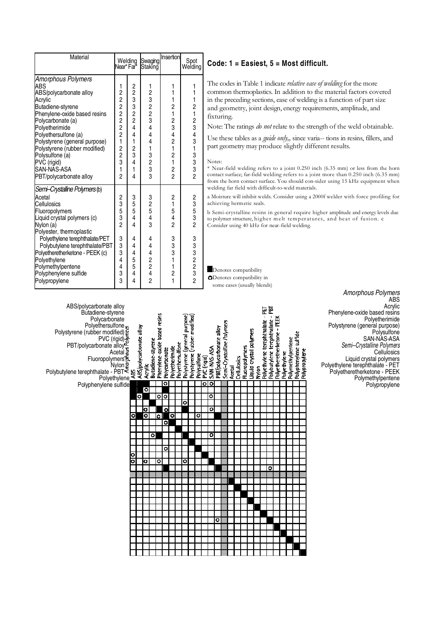| Material                                                                                                                                                                                                                                                                                                                                 | Welding<br>Near*Far*               |                                                                                            | Swaging<br>Staking                                                             | Insertion                                                                                                                              | Spot<br>Welding            |
|------------------------------------------------------------------------------------------------------------------------------------------------------------------------------------------------------------------------------------------------------------------------------------------------------------------------------------------|------------------------------------|--------------------------------------------------------------------------------------------|--------------------------------------------------------------------------------|----------------------------------------------------------------------------------------------------------------------------------------|----------------------------|
| Amorphous Polymers<br><b>ABS</b><br>ABS/polycarbonate alloy<br>Acrylic<br>Butadiene-styrene<br>Phenvlene-oxide based resins<br>Polycarbonate (a)<br>Polyetherimide<br>Polvethersulfone (a)<br>Polystyrene (general purpose)<br>Polystyrene (rubber modified)<br>Polysulfone (a)<br>PVC (rigid)<br>SAN-NAS-ASA<br>PBT/polycarbonate alloy | 1<br>22222212231<br>$\overline{c}$ | 223324<br>$\frac{4}{1}$<br>$\begin{array}{c} 2 \\ 3 \\ 4 \end{array}$<br>$\mathbf{1}$<br>4 | 1<br>23233<br>4<br>4<br>4<br>1<br>$\begin{array}{c}\n3 \\ 2 \\ 3\n\end{array}$ | 1<br>1<br>1<br>$\overline{c}$<br>1<br>2<br>3<br>$\frac{4}{2}$<br>1<br>$\overline{c}$<br>1<br>$\overline{\mathbf{c}}$<br>$\overline{2}$ | 1<br>1<br>1<br>21234313332 |
| Semi-Crystalline Polymers (b)<br>Acetal<br>Cellulosics<br>Fluoropolymers<br>Liquid crystal polymers (c)<br>Nylon (a)<br>Polyester, thermoplastic<br>Polyethylene terephthalate/PET<br>Polybutylene terephthalate/PBT<br>Polyetheretherketone - PEEK (c)<br>Polyethylene<br>Polymethylpentene<br>Polyphenylene sulfide<br>Polypropylene   | 23532<br>3334333                   | 3<br>5<br>5<br>4<br>$\frac{1}{4}$<br>4<br>445544                                           | 3<br>2<br>5<br>4<br>$\dot{3}$<br>4<br>4<br>4<br>2<br>2<br>2<br>2               | 2<br>1<br>5<br>4<br>$\overline{2}$<br>3<br>3<br>3<br>1<br>1<br>$\frac{2}{1}$                                                           | 23532<br>333232            |

### **Code: 1 = Easiest, 5 = Most difficult.**

The codes in Table 1 indicate relative ease of welding for the more common thermoplastics. In addition to the material factors covered in the preceding sections, ease of welding is a function of part size and geometry, joint design, energy requirements, amplitude, and fixturing.

Note: The ratings do not relate to the strength of the weld obtainable.

Use these tables as a *guide only*,, since varia-- tions in resins, fillers, and part geometry may produce slightly different results.

#### Notes:

\* Near-field welding refers to a joint 0.250 inch (6.35 mm) or less from the horn contact surface; far-field welding refers to a joint more than 0.250 inch (6.35 mm) from the horn contact surface. You should con-sider using 15 kHz equipment when welding far field with difficult-to-weld materials.

a Moisture will inhibit welds. Consider using a 2000f welder with force profiling for achieving hermetic seals.

b Semi-crystalline resins in general require higher amplitude and energy levels due to polymer structure, higher melt temperatures, and heat of fusion. c Consider using 40 kHz for near-field welding.

Denotes compatibility **O**Denotes compatibility in some cases (usually blends)

| ABS/polycarbonate alloy<br>Butadiene-styrene<br>Polycarbonate<br>Polycarbonate<br>Polystyrene (rubber modified)<br>PDI/polycarbonate alloys<br>PBT/polycarbonate alloys<br>PBT/polycarbonate alloys<br>Acetal as<br>Fluoropolymers<br>Polypthylene allows<br>Polypthylene sulfide<br>Polypthenylene sulfide |   | ABS/polycarbonate alloy | Acrylic   | Phenylene-oxide based resins<br>Butadiene-styrene | Polycarbonate | Polyethersulfone<br>Polyetherimide | Polystyrene (general purpose) | Polystyrene (rubber modified) | Polysulfone | PVC (rigid) | SAN-NAS-ASA             | PBT/polycarbonate alloy | Semi-Crystalline Polymers | Acetal | Cellulosics | Fluoropolymers | Liquid crystal polymers | ГÄ<br>-<br>Polyethylene terephthalate<br>Nylon | Polybutylene terephthalate - PBT | Polyetheretherketone - PEEK | Polyethylene | Polymethylpentene | Polyphenylene sulfide | Polypropylene | ADJ<br>Acrylic<br>Phenylene-oxide based resins<br>Polyetherimide<br>Polystyrene (general purpose)<br>Polysulfone<br>SAN-NAS-ASA<br>Semi--Crystalline Polymers<br>Cellulosics<br>Liquid crystal polymers<br>Polyethylene terephthalate - PET<br>Polyetheretherketone - PEEK |
|-------------------------------------------------------------------------------------------------------------------------------------------------------------------------------------------------------------------------------------------------------------------------------------------------------------|---|-------------------------|-----------|---------------------------------------------------|---------------|------------------------------------|-------------------------------|-------------------------------|-------------|-------------|-------------------------|-------------------------|---------------------------|--------|-------------|----------------|-------------------------|------------------------------------------------|----------------------------------|-----------------------------|--------------|-------------------|-----------------------|---------------|----------------------------------------------------------------------------------------------------------------------------------------------------------------------------------------------------------------------------------------------------------------------------|
|                                                                                                                                                                                                                                                                                                             |   |                         |           |                                                   | o             |                                    |                               |                               |             | ००          |                         |                         |                           |        |             |                |                         |                                                |                                  |                             |              |                   |                       |               | Polymethylpentene<br>Polypropylene                                                                                                                                                                                                                                         |
|                                                                                                                                                                                                                                                                                                             |   |                         | $\bullet$ |                                                   |               |                                    |                               |                               |             |             |                         |                         |                           |        |             |                |                         |                                                |                                  |                             |              |                   |                       |               |                                                                                                                                                                                                                                                                            |
|                                                                                                                                                                                                                                                                                                             |   | $\bullet$               |           | ।००                                               |               |                                    | $\overline{\mathbf{o}}$       |                               |             |             | ۰                       |                         |                           |        |             |                |                         |                                                |                                  |                             |              |                   |                       |               |                                                                                                                                                                                                                                                                            |
|                                                                                                                                                                                                                                                                                                             |   |                         | о         |                                                   | $\circ$       |                                    |                               |                               |             |             | $\bullet$               |                         |                           |        |             |                |                         |                                                |                                  |                             |              |                   |                       |               |                                                                                                                                                                                                                                                                            |
|                                                                                                                                                                                                                                                                                                             | ۰ |                         | ō         | lol                                               |               | $\bullet$                          |                               |                               | ۰           |             |                         |                         |                           |        |             |                |                         |                                                |                                  |                             |              |                   |                       |               |                                                                                                                                                                                                                                                                            |
|                                                                                                                                                                                                                                                                                                             |   |                         |           |                                                   | ō             |                                    |                               |                               |             |             |                         |                         |                           |        |             |                |                         |                                                |                                  |                             |              |                   |                       |               |                                                                                                                                                                                                                                                                            |
|                                                                                                                                                                                                                                                                                                             |   |                         |           |                                                   |               |                                    |                               |                               |             |             |                         |                         |                           |        |             |                |                         |                                                |                                  |                             |              |                   |                       |               |                                                                                                                                                                                                                                                                            |
|                                                                                                                                                                                                                                                                                                             |   |                         |           | $\circ$                                           |               |                                    |                               |                               |             |             | $\overline{\mathbf{o}}$ |                         |                           |        |             |                |                         |                                                |                                  |                             |              |                   |                       |               |                                                                                                                                                                                                                                                                            |
|                                                                                                                                                                                                                                                                                                             |   |                         |           |                                                   |               |                                    |                               |                               |             |             |                         |                         |                           |        |             |                |                         |                                                |                                  |                             |              |                   |                       |               |                                                                                                                                                                                                                                                                            |
|                                                                                                                                                                                                                                                                                                             | ۰ |                         |           |                                                   | ۰             |                                    |                               |                               |             |             |                         |                         |                           |        |             |                |                         |                                                |                                  |                             |              |                   |                       |               |                                                                                                                                                                                                                                                                            |
|                                                                                                                                                                                                                                                                                                             | O |                         | lo        | 0                                                 |               |                                    | ۰                             |                               |             |             |                         |                         |                           |        |             |                |                         |                                                |                                  |                             |              |                   |                       |               |                                                                                                                                                                                                                                                                            |
|                                                                                                                                                                                                                                                                                                             |   |                         |           |                                                   |               |                                    |                               |                               |             |             |                         |                         |                           |        |             |                |                         |                                                | ۰                                |                             |              |                   |                       |               |                                                                                                                                                                                                                                                                            |
|                                                                                                                                                                                                                                                                                                             |   |                         |           |                                                   |               |                                    |                               |                               |             |             |                         |                         |                           |        |             |                |                         |                                                |                                  |                             |              |                   |                       |               |                                                                                                                                                                                                                                                                            |
|                                                                                                                                                                                                                                                                                                             |   |                         |           |                                                   |               |                                    |                               |                               |             |             |                         |                         |                           |        |             |                |                         |                                                |                                  |                             |              |                   |                       |               |                                                                                                                                                                                                                                                                            |
|                                                                                                                                                                                                                                                                                                             |   |                         |           |                                                   |               |                                    |                               |                               |             |             |                         |                         |                           |        |             |                |                         |                                                |                                  |                             |              |                   |                       |               |                                                                                                                                                                                                                                                                            |
|                                                                                                                                                                                                                                                                                                             |   |                         |           |                                                   |               |                                    |                               |                               |             |             |                         |                         |                           |        |             |                |                         |                                                |                                  |                             |              |                   |                       |               |                                                                                                                                                                                                                                                                            |
|                                                                                                                                                                                                                                                                                                             |   |                         |           |                                                   |               |                                    |                               |                               |             |             |                         |                         |                           |        |             |                |                         |                                                |                                  |                             |              |                   |                       |               |                                                                                                                                                                                                                                                                            |
|                                                                                                                                                                                                                                                                                                             |   |                         |           |                                                   |               |                                    |                               |                               |             |             |                         |                         |                           |        |             |                |                         |                                                |                                  |                             |              |                   |                       |               |                                                                                                                                                                                                                                                                            |
|                                                                                                                                                                                                                                                                                                             |   |                         |           |                                                   |               |                                    |                               |                               |             |             |                         | ۰                       |                           |        |             |                |                         |                                                |                                  |                             |              |                   |                       |               |                                                                                                                                                                                                                                                                            |
|                                                                                                                                                                                                                                                                                                             |   |                         |           |                                                   |               |                                    |                               |                               |             |             |                         |                         |                           |        |             |                |                         |                                                |                                  |                             |              |                   |                       |               |                                                                                                                                                                                                                                                                            |
|                                                                                                                                                                                                                                                                                                             |   |                         |           |                                                   |               |                                    |                               |                               |             |             |                         |                         |                           |        |             |                |                         |                                                |                                  |                             |              |                   |                       |               |                                                                                                                                                                                                                                                                            |
|                                                                                                                                                                                                                                                                                                             |   |                         |           |                                                   |               |                                    |                               |                               |             |             |                         |                         |                           |        |             |                |                         |                                                |                                  |                             |              |                   |                       |               |                                                                                                                                                                                                                                                                            |
|                                                                                                                                                                                                                                                                                                             |   |                         |           |                                                   |               |                                    |                               |                               |             |             |                         |                         |                           |        |             |                |                         |                                                |                                  |                             |              |                   |                       |               |                                                                                                                                                                                                                                                                            |
|                                                                                                                                                                                                                                                                                                             |   |                         |           |                                                   |               |                                    |                               |                               |             |             |                         |                         |                           |        |             |                |                         |                                                |                                  |                             |              |                   |                       |               |                                                                                                                                                                                                                                                                            |

Amorphous Polymers ABS<br>Acrylic Phenylene-oxide based resins Polyetherimide Polystyrene (general purpose)<br>Polysulfone SAN-NAS-ASA Semi--Crystalline Polymers<br>
From Cellulosics<br>
Eiquid crystal polymers<br>
Polyethylene terephthalate - PET<br>
Polyetheretherketone - PEEK<br>
Polyetheretherketone - PEEK Liquid crystal polymers Polyethylene terephthalate - PET Polybutylene terephthalate - PBT Polyetheretherketone - PEEK Polymethylpentene<br>Polymethylpentene<br>Polymponylene Polypropylene